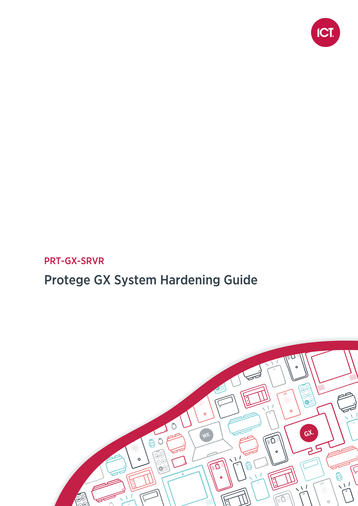

## PRT-GX-SRVR

# Protege GX System Hardening Guide

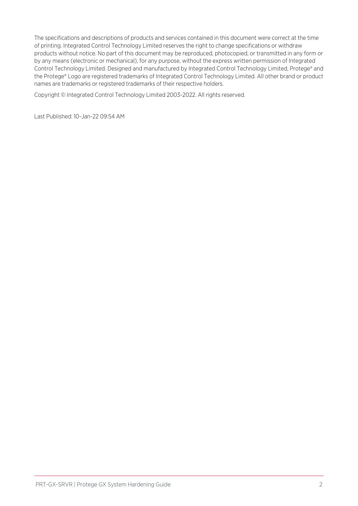The specifications and descriptions of products and services contained in this document were correct at the time of printing. Integrated Control Technology Limited reserves the right to change specifications or withdraw products without notice. No part of this document may be reproduced, photocopied, or transmitted in any form or by any means (electronic or mechanical), for any purpose, without the express written permission of Integrated Control Technology Limited. Designed and manufactured by Integrated Control Technology Limited, Protege® and the Protege® Logo are registered trademarks of Integrated Control Technology Limited. All other brand or product names are trademarks or registered trademarks of their respective holders.

Copyright © Integrated Control Technology Limited 2003-2022. All rights reserved.

Last Published: 10-Jan-22 09:54 AM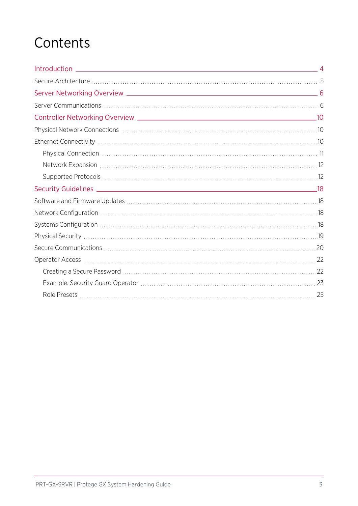# **Contents**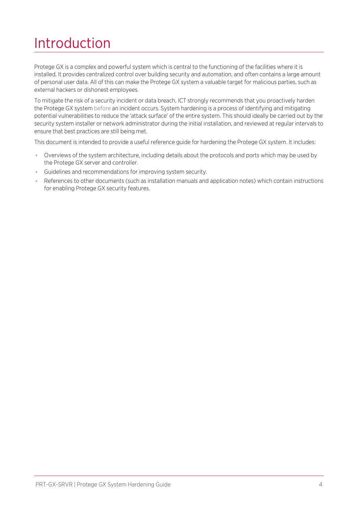# <span id="page-3-0"></span>Introduction

Protege GX is a complex and powerful system which is central to the functioning of the facilities where it is installed. It provides centralized control over building security and automation, and often contains a large amount of personal user data. All of this can make the Protege GX system a valuable target for malicious parties, such as external hackers or dishonest employees.

To mitigate the risk of a security incident or data breach, ICT strongly recommends that you proactively harden the Protege GX system before an incident occurs. System hardening is a process of identifying and mitigating potential vulnerabilities to reduce the 'attack surface' of the entire system. This should ideally be carried out by the security system installer or network administrator during the initial installation, and reviewed at regular intervals to ensure that best practices are still being met.

This document is intended to provide a useful reference guide for hardening the Protege GX system. It includes:

- ⦁ Overviews of the system architecture, including details about the protocols and ports which may be used by the Protege GX server and controller.
- ⦁ Guidelines and recommendations for improving system security.
- References to other documents (such as installation manuals and application notes) which contain instructions for enabling Protege GX security features.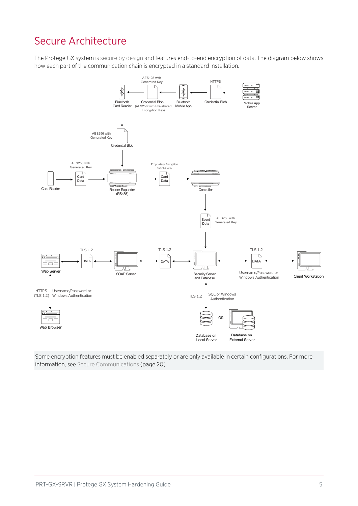# <span id="page-4-0"></span>Secure Architecture

The Protege GX system is secure by design and features end-to-end encryption of data. The diagram below shows how each part of the communication chain is encrypted in a standard installation.



Some encryption features must be enabled separately or are only available in certain configurations. For [more](#page-19-0) information, see Secure [Communications](#page-19-0) (page 20).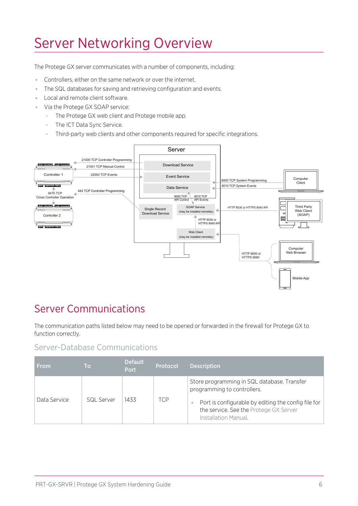# <span id="page-5-0"></span>Server Networking Overview

The Protege GX server communicates with a number of components, including:

- ⦁ Controllers, either on the same network or over the internet.
- ⦁ The SQL databases for saving and retrieving configuration and events.
- ⦁ Local and remote client software.
- Via the Protege GX SOAP service:
	- The Protege GX web client and Protege mobile app.
	- The ICT Data Sync Service.
	- Third-party web clients and other components required for specific integrations.



## <span id="page-5-1"></span>Server Communications

The communication paths listed below may need to be opened or forwarded in the firewall for Protege GX to function correctly.

#### Server-Database Communications

| <b>From</b>  | Τo         | <b>Default</b><br><b>Port</b> | Protocol | <b>Description</b>                                                                                                                                                                                  |
|--------------|------------|-------------------------------|----------|-----------------------------------------------------------------------------------------------------------------------------------------------------------------------------------------------------|
| Data Service | SQL Server | 1433                          | ГСР      | Store programming in SQL database. Transfer<br>programming to controllers.<br>Port is configurable by editing the config file for<br>the service. See the Protege GX Server<br>Installation Manual. |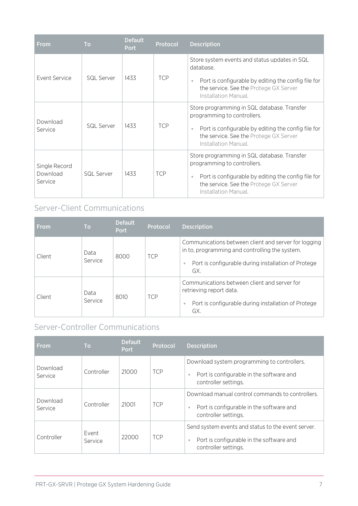| <b>From</b>                          | <b>To</b>  | <b>Default</b><br><b>Port</b> | <b>Protocol</b> | <b>Description</b>                                                                                                                                                                                  |
|--------------------------------------|------------|-------------------------------|-----------------|-----------------------------------------------------------------------------------------------------------------------------------------------------------------------------------------------------|
| Event Service                        | SQL Server | 1433                          | <b>TCP</b>      | Store system events and status updates in SQL<br>database.<br>Port is configurable by editing the config file for<br>the service. See the Protege GX Server<br>Installation Manual.                 |
| Download<br>Service                  | SQI Server | 1433                          | <b>TCP</b>      | Store programming in SQL database. Transfer<br>programming to controllers.<br>Port is configurable by editing the config file for<br>the service. See the Protege GX Server<br>Installation Manual. |
| Single Record<br>Download<br>Service | SQL Server | 1433                          | <b>TCP</b>      | Store programming in SQL database. Transfer<br>programming to controllers.<br>Port is configurable by editing the config file for<br>the service. See the Protege GX Server<br>Installation Manual. |

#### Server-Client Communications

| <b>From</b> | <b>To</b>       | <b>Default</b><br><b>Port</b> | <b>Protocol</b> | <b>Description</b>                                                                                                                                                   |
|-------------|-----------------|-------------------------------|-----------------|----------------------------------------------------------------------------------------------------------------------------------------------------------------------|
| Client      | Data<br>Service | 8000                          | <b>TCP</b>      | Communications between client and server for logging<br>in to, programming and controlling the system.<br>Port is configurable during installation of Protege<br>GX. |
| Client      | Data<br>Service | 8010                          | <b>TCP</b>      | Communications between client and server for<br>retrieving report data.<br>Port is configurable during installation of Protege<br>GX.                                |

#### Server-Controller Communications

| <b>From</b>         | <b>To</b>        | <b>Default</b><br><b>Port</b> | Protocol   | <b>Description</b>                                                                                                     |
|---------------------|------------------|-------------------------------|------------|------------------------------------------------------------------------------------------------------------------------|
| Download<br>Service | Controller       | 21000                         | <b>TCP</b> | Download system programming to controllers.<br>Port is configurable in the software and<br>controller settings.        |
| Download<br>Service | Controller       | 21001                         | <b>TCP</b> | Download manual control commands to controllers.<br>Port is configurable in the software and<br>controller settings.   |
| Controller          | Event<br>Service | 22000                         | <b>TCP</b> | Send system events and status to the event server.<br>Port is configurable in the software and<br>controller settings. |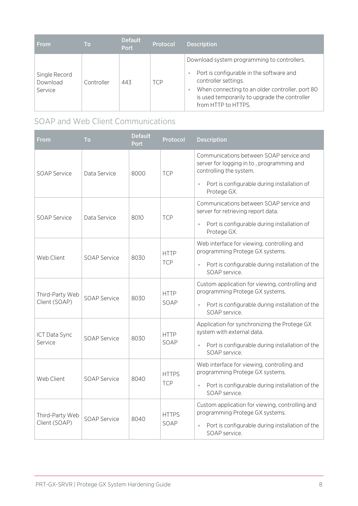| <b>From</b>                          | Τo         | <b>Default</b><br><b>Port</b> | Protocol   | <b>Description</b>                                                                                                                                                                                                                         |
|--------------------------------------|------------|-------------------------------|------------|--------------------------------------------------------------------------------------------------------------------------------------------------------------------------------------------------------------------------------------------|
| Single Record<br>Download<br>Service | Controller | 443                           | <b>TCP</b> | Download system programming to controllers.<br>Port is configurable in the software and<br>controller settings.<br>When connecting to an older controller, port 80<br>is used temporarily to upgrade the controller<br>from HTTP to HTTPS. |

#### SOAP and Web Client Communications

| From                | To                  | <b>Default</b><br>Port | Protocol                                                                   | <b>Description</b>                                                                                              |
|---------------------|---------------------|------------------------|----------------------------------------------------------------------------|-----------------------------------------------------------------------------------------------------------------|
| SOAP Service        | Data Service        | 8000                   | <b>TCP</b>                                                                 | Communications between SOAP service and<br>server for logging in to, programming and<br>controlling the system. |
|                     |                     |                        |                                                                            | Port is configurable during installation of<br>Protege GX.                                                      |
| <b>SOAP Service</b> | Data Service        | 8010                   | <b>TCP</b>                                                                 | Communications between SOAP service and<br>server for retrieving report data.                                   |
|                     |                     |                        |                                                                            | Port is configurable during installation of<br>Protege GX.                                                      |
|                     |                     |                        | <b>HTTP</b><br><b>TCP</b>                                                  | Web interface for viewing, controlling and<br>programming Protege GX systems.                                   |
| Web Client          | <b>SOAP Service</b> | 8030                   |                                                                            | Port is configurable during installation of the<br>SOAP service.                                                |
| Third-Party Web     | <b>SOAP Service</b> | 8030                   | <b>HTTP</b><br>SOAP                                                        | Custom application for viewing, controlling and<br>programming Protege GX systems.                              |
| Client (SOAP)       |                     |                        |                                                                            | Port is configurable during installation of the<br>SOAP service.                                                |
| ICT Data Sync       |                     | <b>HTTP</b>            | Application for synchronizing the Protege GX<br>system with external data. |                                                                                                                 |
| Service             | <b>SOAP Service</b> | 8030                   | SOAP                                                                       | Port is configurable during installation of the<br>SOAP service.                                                |
|                     | <b>SOAP Service</b> | 8040                   | <b>HTTPS</b><br><b>TCP</b>                                                 | Web interface for viewing, controlling and<br>programming Protege GX systems.                                   |
| Web Client          |                     |                        |                                                                            | Port is configurable during installation of the<br>$\bullet$<br>SOAP service.                                   |
| Third-Party Web     |                     |                        | <b>HTTPS</b>                                                               | Custom application for viewing, controlling and<br>programming Protege GX systems.                              |
| Client (SOAP)       | SOAP Service        | 8040                   | SOAP                                                                       | Port is configurable during installation of the<br>$\bullet$<br>SOAP service.                                   |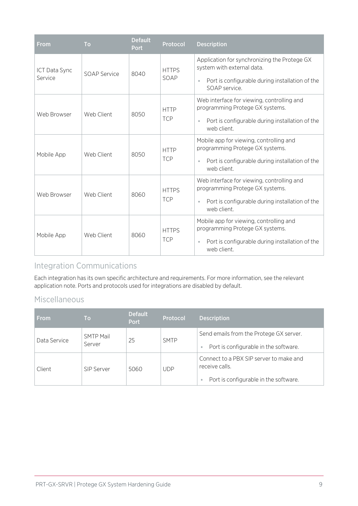| From                     | To                  | <b>Default</b><br><b>Port</b> | Protocol                   | <b>Description</b>                                                                                                                                                      |
|--------------------------|---------------------|-------------------------------|----------------------------|-------------------------------------------------------------------------------------------------------------------------------------------------------------------------|
| ICT Data Sync<br>Service | <b>SOAP Service</b> | 8040                          | <b>HTTPS</b><br>SOAP       | Application for synchronizing the Protege GX<br>system with external data.<br>Port is configurable during installation of the<br>$\bullet$<br>SOAP service.             |
| Web Browser              | Web Client          | 8050                          | <b>HTTP</b><br><b>TCP</b>  | Web interface for viewing, controlling and<br>programming Protege GX systems.<br>Port is configurable during installation of the<br>$\ddot{\phantom{a}}$<br>web client. |
| Mobile App               | Web Client          | 8050                          | <b>HTTP</b><br><b>TCP</b>  | Mobile app for viewing, controlling and<br>programming Protege GX systems.<br>Port is configurable during installation of the<br>web client.                            |
| Web Browser              | Web Client          | 8060                          | <b>HTTPS</b><br><b>TCP</b> | Web interface for viewing, controlling and<br>programming Protege GX systems.<br>Port is configurable during installation of the<br>$\ddot{\phantom{a}}$<br>web client. |
| Mobile App               | Web Client          | 8060                          | <b>HTTPS</b><br><b>TCP</b> | Mobile app for viewing, controlling and<br>programming Protege GX systems.<br>Port is configurable during installation of the<br>$\bullet$<br>web client.               |

#### Integration Communications

Each integration has its own specific architecture and requirements. For more information, see the relevant application note. Ports and protocols used for integrations are disabled by default.

#### Miscellaneous

| <b>From</b>  | <b>To</b>                  | <b>Default</b><br><b>Port</b> | Protocol    | <b>Description</b>                                                                                            |
|--------------|----------------------------|-------------------------------|-------------|---------------------------------------------------------------------------------------------------------------|
| Data Service | <b>SMTP Mail</b><br>Server | 25                            | <b>SMTP</b> | Send emails from the Protege GX server.<br>Port is configurable in the software.                              |
| Client       | SIP Server                 | 5060                          | <b>UDP</b>  | Connect to a PBX SIP server to make and<br>receive calls.<br>Port is configurable in the software.<br>$\circ$ |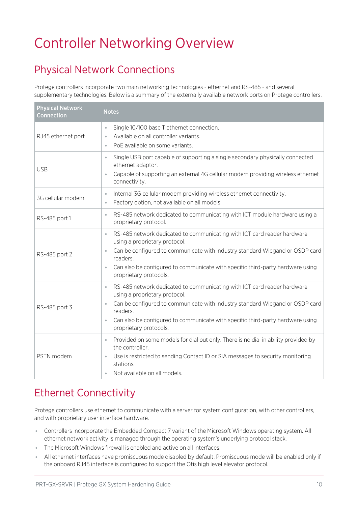# <span id="page-9-0"></span>Controller Networking Overview

# <span id="page-9-1"></span>Physical Network Connections

Protege controllers incorporate two main networking technologies - ethernet and RS-485 - and several supplementary technologies. Below is a summary of the externally available network ports on Protege controllers.

| <b>Physical Network</b><br><b>Connection</b> | <b>Notes</b>                                                                                                                                                                                                                                                                                                                                            |
|----------------------------------------------|---------------------------------------------------------------------------------------------------------------------------------------------------------------------------------------------------------------------------------------------------------------------------------------------------------------------------------------------------------|
| RJ45 ethernet port                           | Single 10/100 base T ethernet connection.<br>$\bullet$<br>Available on all controller variants.<br>$\bullet$<br>PoE available on some variants.<br>$\ddot{\phantom{a}}$                                                                                                                                                                                 |
| <b>USB</b>                                   | Single USB port capable of supporting a single secondary physically connected<br>$\bullet$<br>ethernet adaptor.<br>Capable of supporting an external 4G cellular modem providing wireless ethernet<br>connectivity.                                                                                                                                     |
| 3G cellular modem                            | Internal 3G cellular modem providing wireless ethernet connectivity.<br>$\circ$<br>Factory option, not available on all models.<br>$\bullet$                                                                                                                                                                                                            |
| RS-485 port 1                                | RS-485 network dedicated to communicating with ICT module hardware using a<br>$\bullet$<br>proprietary protocol.                                                                                                                                                                                                                                        |
| RS-485 port 2                                | RS-485 network dedicated to communicating with ICT card reader hardware<br>$\bullet$<br>using a proprietary protocol.<br>Can be configured to communicate with industry standard Wiegand or OSDP card<br>$\bullet$<br>readers.<br>Can also be configured to communicate with specific third-party hardware using<br>$\bullet$<br>proprietary protocols. |
| RS-485 port 3                                | RS-485 network dedicated to communicating with ICT card reader hardware<br>$\bullet$<br>using a proprietary protocol.<br>Can be configured to communicate with industry standard Wiegand or OSDP card<br>$\bullet$<br>readers.<br>Can also be configured to communicate with specific third-party hardware using<br>$\bullet$<br>proprietary protocols. |
| PSTN modem                                   | Provided on some models for dial out only. There is no dial in ability provided by<br>$\bullet$<br>the controller.<br>Use is restricted to sending Contact ID or SIA messages to security monitoring<br>$\circ$<br>stations.<br>Not available on all models.<br>$\bullet$                                                                               |

# <span id="page-9-2"></span>Ethernet Connectivity

Protege controllers use ethernet to communicate with a server for system configuration, with other controllers, and with proprietary user interface hardware.

- ⦁ Controllers incorporate the Embedded Compact 7 variant of the Microsoft Windows operating system. All ethernet network activity is managed through the operating system's underlying protocol stack.
- ⦁ The Microsoft Windows firewall is enabled and active on all interfaces.
- ⦁ All ethernet interfaces have promiscuous mode disabled by default. Promiscuous mode will be enabled only if the onboard RJ45 interface is configured to support the Otis high level elevator protocol.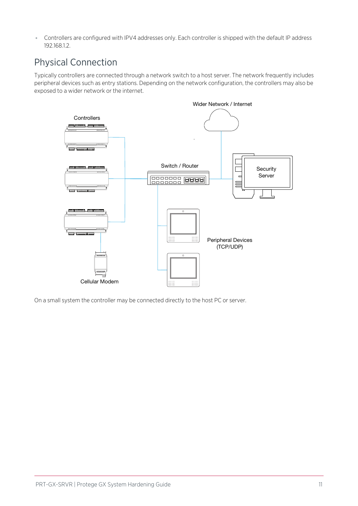<span id="page-10-0"></span>⦁ Controllers are configured with IPV4 addresses only. Each controller is shipped with the default IP address 192.168.1.2.

### Physical Connection

Typically controllers are connected through a network switch to a host server. The network frequently includes peripheral devices such as entry stations. Depending on the network configuration, the controllers may also be exposed to a wider network or the internet.



On a small system the controller may be connected directly to the host PC or server.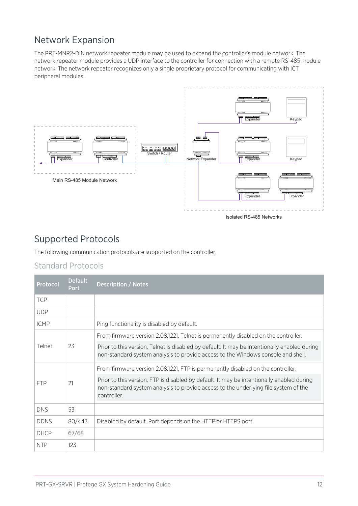### <span id="page-11-0"></span>Network Expansion

The PRT-MNR2-DIN network repeater module may be used to expand the controller's module network. The network repeater module provides a UDP interface to the controller for connection with a remote RS-485 module network. The network repeater recognizes only a single proprietary protocol for communicating with ICT peripheral modules.



Isolated RS-485 Networks

### <span id="page-11-1"></span>Supported Protocols

The following communication protocols are supported on the controller.

#### Standard Protocols

| Protocol         | <b>Default</b><br><b>Port</b> | Description / Notes                                                                                                                                                                             |
|------------------|-------------------------------|-------------------------------------------------------------------------------------------------------------------------------------------------------------------------------------------------|
| <b>TCP</b>       |                               |                                                                                                                                                                                                 |
| <b>UDP</b>       |                               |                                                                                                                                                                                                 |
| <b>ICMP</b>      |                               | Ping functionality is disabled by default.                                                                                                                                                      |
|                  |                               | From firmware version 2.08.1221, Telnet is permanently disabled on the controller.                                                                                                              |
| 23<br>Telnet     |                               | Prior to this version, Telnet is disabled by default. It may be intentionally enabled during<br>non-standard system analysis to provide access to the Windows console and shell.                |
|                  |                               | From firmware version 2.08.1221, FTP is permanently disabled on the controller.                                                                                                                 |
| 21<br><b>FTP</b> |                               | Prior to this version, FTP is disabled by default. It may be intentionally enabled during<br>non-standard system analysis to provide access to the underlying file system of the<br>controller. |
| <b>DNS</b>       | 53                            |                                                                                                                                                                                                 |
| <b>DDNS</b>      | 80/443                        | Disabled by default. Port depends on the HTTP or HTTPS port.                                                                                                                                    |
| <b>DHCP</b>      | 67/68                         |                                                                                                                                                                                                 |
| <b>NTP</b>       | 123                           |                                                                                                                                                                                                 |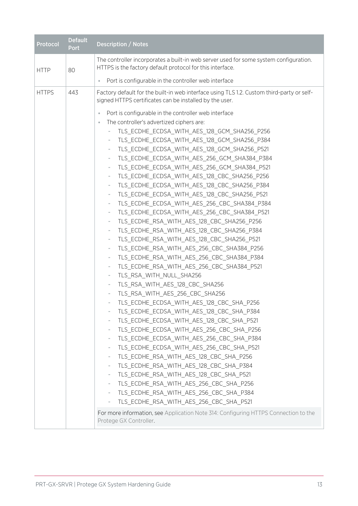| <b>Default</b><br>Protocol<br><b>Port</b> | <b>Description / Notes</b>                                                                                                                                                                                                                                                                                                                                                                                                                                                                                                                                                                                                                                                                                                                                                                                                                                                                                                                                                                                                                                                                                                                                                                                                                                                                                                                                                                                    |
|-------------------------------------------|---------------------------------------------------------------------------------------------------------------------------------------------------------------------------------------------------------------------------------------------------------------------------------------------------------------------------------------------------------------------------------------------------------------------------------------------------------------------------------------------------------------------------------------------------------------------------------------------------------------------------------------------------------------------------------------------------------------------------------------------------------------------------------------------------------------------------------------------------------------------------------------------------------------------------------------------------------------------------------------------------------------------------------------------------------------------------------------------------------------------------------------------------------------------------------------------------------------------------------------------------------------------------------------------------------------------------------------------------------------------------------------------------------------|
| <b>HTTP</b><br>80                         | The controller incorporates a built-in web server used for some system configuration.<br>HTTPS is the factory default protocol for this interface.                                                                                                                                                                                                                                                                                                                                                                                                                                                                                                                                                                                                                                                                                                                                                                                                                                                                                                                                                                                                                                                                                                                                                                                                                                                            |
|                                           | Port is configurable in the controller web interface<br>$\bullet$                                                                                                                                                                                                                                                                                                                                                                                                                                                                                                                                                                                                                                                                                                                                                                                                                                                                                                                                                                                                                                                                                                                                                                                                                                                                                                                                             |
| 443<br><b>HTTPS</b>                       | Factory default for the built-in web interface using TLS 1.2. Custom third-party or self-<br>signed HTTPS certificates can be installed by the user.<br>Port is configurable in the controller web interface<br>$\bullet$<br>The controller's advertized ciphers are:<br>TLS_ECDHE_ECDSA_WITH_AES_128_GCM_SHA256_P256<br>TLS_ECDHE_ECDSA_WITH_AES_128_GCM_SHA256_P384<br>TLS_ECDHE_ECDSA_WITH_AES_128_GCM_SHA256_P521<br>TLS_ECDHE_ECDSA_WITH_AES_256_GCM_SHA384_P384<br>$\qquad \qquad =$<br>TLS_ECDHE_ECDSA_WITH_AES_256_GCM_SHA384_P521<br>TLS_ECDHE_ECDSA_WITH_AES_128_CBC_SHA256_P256<br>$\overline{\phantom{a}}$<br>TLS ECDHE ECDSA WITH AES 128 CBC SHA256 P384<br>-                                                                                                                                                                                                                                                                                                                                                                                                                                                                                                                                                                                                                                                                                                                                   |
|                                           | TLS ECDHE ECDSA WITH AES 128 CBC SHA256 P521<br>$\overline{\phantom{a}}$<br>TLS ECDHE ECDSA WITH AES 256 CBC SHA384 P384<br>-<br>TLS_ECDHE_ECDSA_WITH_AES_256_CBC_SHA384_P521<br>$\overline{\phantom{a}}$<br>TLS_ECDHE_RSA_WITH_AES_128_CBC_SHA256_P256<br>-<br>TLS_ECDHE_RSA_WITH_AES_128_CBC_SHA256_P384<br>$\qquad \qquad =$<br>TLS_ECDHE_RSA_WITH_AES_128_CBC_SHA256_P521<br>-<br>TLS_ECDHE_RSA_WITH_AES_256_CBC_SHA384_P256<br>$\overline{\phantom{a}}$<br>TLS_ECDHE_RSA_WITH_AES_256_CBC_SHA384_P384<br>-<br>TLS_ECDHE_RSA_WITH_AES_256_CBC_SHA384_P521<br>$\qquad \qquad =$<br>TLS_RSA_WITH_NULL_SHA256<br>TLS_RSA_WITH_AES_128_CBC_SHA256<br>TLS RSA WITH AES 256 CBC SHA256<br>TLS_ECDHE_ECDSA_WITH_AES_128_CBC_SHA_P256<br>TLS_ECDHE_ECDSA_WITH_AES_128_CBC_SHA_P384<br>TLS_ECDHE_ECDSA_WITH_AES_128_CBC_SHA_P521<br>TLS_ECDHE_ECDSA_WITH_AES_256_CBC_SHA_P256<br>-<br>TLS_ECDHE_ECDSA_WITH_AES_256_CBC_SHA_P384<br>TLS_ECDHE_ECDSA_WITH_AES_256_CBC_SHA_P521<br>TLS ECDHE RSA WITH AES 128 CBC SHA P256<br>$\bar{ }$<br>TLS_ECDHE_RSA_WITH_AES_128_CBC_SHA_P384<br>-<br>TLS_ECDHE_RSA_WITH_AES_128_CBC_SHA_P521<br>TLS_ECDHE_RSA_WITH_AES_256_CBC_SHA_P256<br>-<br>TLS_ECDHE_RSA_WITH_AES_256_CBC_SHA_P384<br>$\overline{\phantom{a}}$<br>TLS_ECDHE_RSA_WITH_AES_256_CBC_SHA_P521<br>For more information, see Application Note 314: Configuring HTTPS Connection to the<br>Protege GX Controller. |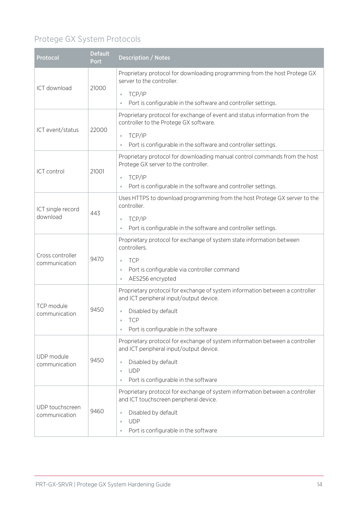## Protege GX System Protocols

| <b>Protocol</b>             | <b>Default</b><br>Port | <b>Description / Notes</b>                                                                                                                                                                               |
|-----------------------------|------------------------|----------------------------------------------------------------------------------------------------------------------------------------------------------------------------------------------------------|
| ICT download                | 21000                  | Proprietary protocol for downloading programming from the host Protege GX<br>server to the controller.<br>TCP/IP<br>$\circ$<br>Port is configurable in the software and controller settings.<br>$\Theta$ |
|                             |                        | Proprietary protocol for exchange of event and status information from the                                                                                                                               |
| ICT event/status            | 22000                  | controller to the Protege GX software.                                                                                                                                                                   |
|                             |                        | TCP/IP<br>$\oplus$<br>Port is configurable in the software and controller settings.                                                                                                                      |
|                             |                        | Proprietary protocol for downloading manual control commands from the host<br>Protege GX server to the controller.                                                                                       |
| ICT control                 | 21001                  | TCP/IP<br>$\circ$                                                                                                                                                                                        |
|                             |                        | Port is configurable in the software and controller settings.                                                                                                                                            |
| ICT single record           | 443                    | Uses HTTPS to download programming from the host Protege GX server to the<br>controller.                                                                                                                 |
| download                    |                        | TCP/IP<br>$\circ$                                                                                                                                                                                        |
|                             |                        | Port is configurable in the software and controller settings.<br>$\Theta$                                                                                                                                |
| Cross controller            |                        | Proprietary protocol for exchange of system state information between<br>controllers.                                                                                                                    |
| communication               | 9470                   | <b>TCP</b><br>$\circ$                                                                                                                                                                                    |
|                             |                        | Port is configurable via controller command<br>$\circ$<br>AES256 encrypted<br>$\circ$                                                                                                                    |
|                             | 9450                   | Proprietary protocol for exchange of system information between a controller<br>and ICT peripheral input/output device.                                                                                  |
| TCP module<br>communication |                        | Disabled by default<br>$\Theta$                                                                                                                                                                          |
|                             |                        | <b>TCP</b><br>Port is configurable in the software<br>$\circ$                                                                                                                                            |
|                             |                        | Proprietary protocol for exchange of system information between a controller                                                                                                                             |
|                             |                        | and ICT peripheral input/output device.                                                                                                                                                                  |
| UDP module<br>communication | 9450                   | Disabled by default<br>$\circ$                                                                                                                                                                           |
|                             |                        | <b>UDP</b><br>$\Theta$                                                                                                                                                                                   |
|                             |                        | Port is configurable in the software<br>$\Theta$                                                                                                                                                         |
| UDP touchscreen             |                        | Proprietary protocol for exchange of system information between a controller<br>and ICT touchscreen peripheral device.                                                                                   |
| communication               | 9460                   | Disabled by default<br>$\circ$                                                                                                                                                                           |
|                             |                        | <b>UDP</b><br>$\circ$<br>Port is configurable in the software<br>$\bullet$                                                                                                                               |
|                             |                        |                                                                                                                                                                                                          |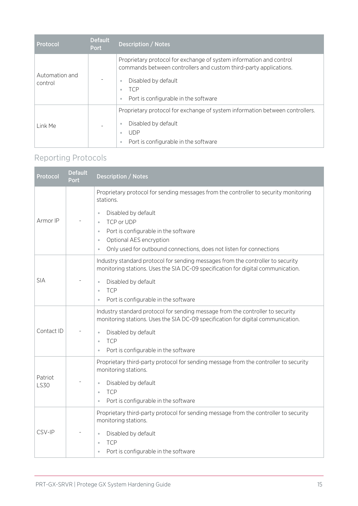| Protocol                  | <b>Default</b><br><b>Port</b> | <b>Description / Notes</b>                                                                                                                                                                                                                                            |
|---------------------------|-------------------------------|-----------------------------------------------------------------------------------------------------------------------------------------------------------------------------------------------------------------------------------------------------------------------|
| Automation and<br>control |                               | Proprietary protocol for exchange of system information and control<br>commands between controllers and custom third-party applications.<br>Disabled by default<br>$\ddot{\phantom{a}}$<br><b>TCP</b><br>$\bullet$<br>Port is configurable in the software<br>$\circ$ |
| Link Me                   |                               | Proprietary protocol for exchange of system information between controllers.<br>Disabled by default<br>$\ddot{\phantom{a}}$<br>UDP <sup></sup><br>$\bullet$<br>Port is configurable in the software<br>$\ddot{\phantom{a}}$                                           |

## Reporting Protocols

| Protocol               | <b>Default</b><br><b>Port</b> | <b>Description / Notes</b>                                                                                                                                                                            |
|------------------------|-------------------------------|-------------------------------------------------------------------------------------------------------------------------------------------------------------------------------------------------------|
|                        |                               | Proprietary protocol for sending messages from the controller to security monitoring<br>stations.                                                                                                     |
| Armor IP               |                               | Disabled by default<br>TCP or UDP<br>$\bullet$<br>Port is configurable in the software<br>Optional AES encryption<br>$\bullet$<br>Only used for outbound connections, does not listen for connections |
|                        |                               | Industry standard protocol for sending messages from the controller to security<br>monitoring stations. Uses the SIA DC-09 specification for digital communication.                                   |
| <b>SIA</b>             |                               | Disabled by default<br>$\circ$<br><b>TCP</b><br>$\bullet$<br>Port is configurable in the software<br>$\bullet$                                                                                        |
|                        |                               | Industry standard protocol for sending message from the controller to security<br>monitoring stations. Uses the SIA DC-09 specification for digital communication.                                    |
| Contact ID             |                               | Disabled by default<br>$\bullet$<br><b>TCP</b><br>$\circ$<br>Port is configurable in the software<br>$\circ$                                                                                          |
|                        |                               | Proprietary third-party protocol for sending message from the controller to security<br>monitoring stations.                                                                                          |
| Patriot<br><b>LS30</b> |                               | Disabled by default<br>$\circ$<br><b>TCP</b><br>$\bullet$<br>Port is configurable in the software<br>$\bullet$                                                                                        |
|                        |                               | Proprietary third-party protocol for sending message from the controller to security<br>monitoring stations.                                                                                          |
| CSV-IP                 |                               | Disabled by default<br>$\bullet$<br><b>TCP</b><br>$\bullet$<br>Port is configurable in the software                                                                                                   |
|                        |                               |                                                                                                                                                                                                       |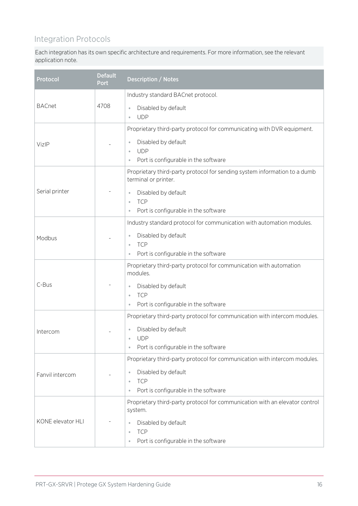#### Integration Protocols

Each integration has its own specific architecture and requirements. For more information, see the relevant application note.

| Protocol          | <b>Default</b><br>Port                                                                                                                                                                  | <b>Description / Notes</b>                                                                                                                                                                                         |
|-------------------|-----------------------------------------------------------------------------------------------------------------------------------------------------------------------------------------|--------------------------------------------------------------------------------------------------------------------------------------------------------------------------------------------------------------------|
|                   |                                                                                                                                                                                         | Industry standard BACnet protocol.                                                                                                                                                                                 |
| <b>BACnet</b>     | 4708                                                                                                                                                                                    | Disabled by default<br>$\oplus$<br><b>UDP</b><br>$\oplus$                                                                                                                                                          |
|                   |                                                                                                                                                                                         | Proprietary third-party protocol for communicating with DVR equipment.                                                                                                                                             |
| VizIP             |                                                                                                                                                                                         | Disabled by default<br>$\theta$<br><b>UDP</b><br>$\oplus$<br>Port is configurable in the software<br>$\theta$                                                                                                      |
|                   |                                                                                                                                                                                         | Proprietary third-party protocol for sending system information to a dumb<br>terminal or printer.                                                                                                                  |
| Serial printer    |                                                                                                                                                                                         | Disabled by default<br>$\oplus$<br><b>TCP</b><br>$\oplus$<br>Port is configurable in the software                                                                                                                  |
| Modbus            | Industry standard protocol for communication with automation modules.<br>Disabled by default<br>$\theta$<br><b>TCP</b><br>$\bullet$<br>Port is configurable in the software<br>$\oplus$ |                                                                                                                                                                                                                    |
| C-Bus             |                                                                                                                                                                                         | Proprietary third-party protocol for communication with automation<br>modules.<br>Disabled by default<br>$\theta$<br><b>TCP</b><br>$\oplus$<br>Port is configurable in the software                                |
| Intercom          |                                                                                                                                                                                         | Proprietary third-party protocol for communication with intercom modules.<br>Disabled by default<br>$\bullet$ UDP<br>Port is configurable in the software                                                          |
| Fanvil intercom   |                                                                                                                                                                                         | Proprietary third-party protocol for communication with intercom modules.<br>Disabled by default<br>$\oplus$<br><b>TCP</b><br>$\ddot{\phantom{a}}$<br>Port is configurable in the software<br>$\ddot{\phantom{a}}$ |
| KONE elevator HLI |                                                                                                                                                                                         | Proprietary third-party protocol for communication with an elevator control<br>system.<br>Disabled by default<br>$\oplus$<br><b>TCP</b><br>$\bullet$<br>Port is configurable in the software<br>$\oplus$           |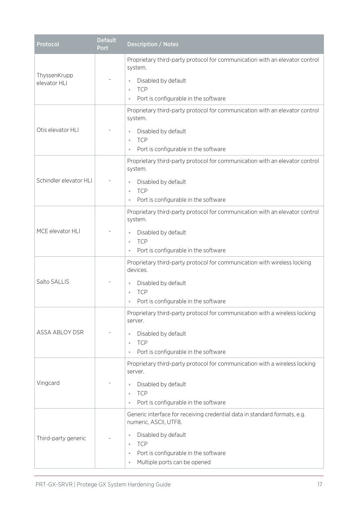| Protocol                                                                         | <b>Default</b><br>Port                                                                                                                                                                        | <b>Description / Notes</b>                                                                                                                                                                                                                           |  |  |  |  |
|----------------------------------------------------------------------------------|-----------------------------------------------------------------------------------------------------------------------------------------------------------------------------------------------|------------------------------------------------------------------------------------------------------------------------------------------------------------------------------------------------------------------------------------------------------|--|--|--|--|
| ThyssenKrupp<br>elevator HLI                                                     |                                                                                                                                                                                               | Proprietary third-party protocol for communication with an elevator control<br>system.<br>Disabled by default<br>$\Theta$<br><b>TCP</b><br>$\bullet$                                                                                                 |  |  |  |  |
| Otis elevator HLI                                                                | Port is configurable in the software<br>$\bullet$<br>Proprietary third-party protocol for communication with an elevator control<br>system.<br>Disabled by default<br><b>TCP</b><br>$\bullet$ |                                                                                                                                                                                                                                                      |  |  |  |  |
| Schindler elevator HLI                                                           |                                                                                                                                                                                               | Port is configurable in the software<br>$\bullet$<br>Proprietary third-party protocol for communication with an elevator control<br>system.<br>Disabled by default<br>$\circ$<br><b>TCP</b><br>Port is configurable in the software<br>$\circ$       |  |  |  |  |
| MCE elevator HLI                                                                 |                                                                                                                                                                                               | Proprietary third-party protocol for communication with an elevator control<br>system.<br>Disabled by default<br>$\circ$<br><b>TCP</b><br>Port is configurable in the software<br>$\circ$                                                            |  |  |  |  |
| Salto SALLIS                                                                     |                                                                                                                                                                                               | Proprietary third-party protocol for communication with wireless locking<br>devices.<br>Disabled by default<br>$\circ$<br><b>TCP</b><br>Port is configurable in the software                                                                         |  |  |  |  |
| ASSA ABLOY DSR                                                                   |                                                                                                                                                                                               | Proprietary third-party protocol for communication with a wireless locking<br>server.<br>Disabled by default<br>$\circ$<br><b>TCP</b><br>$\bullet$<br>Port is configurable in the software<br>$\circ$                                                |  |  |  |  |
| server.<br>Vingcard<br>Disabled by default<br>$\bullet$<br><b>TCP</b><br>$\circ$ |                                                                                                                                                                                               | Proprietary third-party protocol for communication with a wireless locking<br>Port is configurable in the software                                                                                                                                   |  |  |  |  |
| Third-party generic                                                              |                                                                                                                                                                                               | Generic interface for receiving credential data in standard formats, e.g.<br>numeric, ASCII, UTF8.<br>Disabled by default<br><b>TCP</b><br>$\circ$<br>Port is configurable in the software<br>$\bullet$<br>Multiple ports can be opened<br>$\bullet$ |  |  |  |  |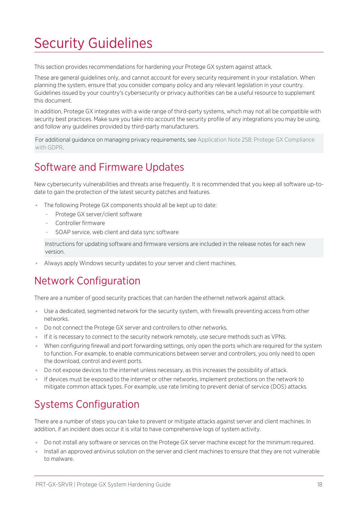# <span id="page-17-0"></span>Security Guidelines

This section provides recommendations for hardening your Protege GX system against attack.

These are general guidelines only, and cannot account for every security requirement in your installation. When planning the system, ensure that you consider company policy and any relevant legislation in your country. Guidelines issued by your country's cybersecurity or privacy authorities can be a useful resource to supplement this document.

In addition, Protege GX integrates with a wide range of third-party systems, which may not all be compatible with security best practices. Make sure you take into account the security profile of any integrations you may be using, and follow any guidelines provided by third-party manufacturers.

<span id="page-17-1"></span>For additional guidance on managing privacy requirements, see Application Note 258: Protege GX Compliance with GDPR.

## Software and Firmware Updates

New cybersecurity vulnerabilities and threats arise frequently. It is recommended that you keep all software up-todate to gain the protection of the latest security patches and features.

- ⦁ The following Protege GX components should all be kept up to date:
	- Protege GX server/client software
	- Controller firmware
	- SOAP service, web client and data sync software

Instructions for updating software and firmware versions are included in the release notes for each new version.

<span id="page-17-2"></span>Always apply Windows security updates to your server and client machines.

## Network Configuration

There are a number of good security practices that can harden the ethernet network against attack.

- ⦁ Use a dedicated, segmented network for the security system, with firewalls preventing access from other networks.
- Do not connect the Protege GX server and controllers to other networks.
- ⦁ If it is necessary to connect to the security network remotely, use secure methods such as VPNs.
- ⦁ When configuring firewall and port forwarding settings, only open the ports which are required for the system to function. For example, to enable communications between server and controllers, you only need to open the download, control and event ports.
- ⦁ Do not expose devices to the internet unless necessary, as this increases the possibility of attack.
- <span id="page-17-3"></span>⦁ If devices must be exposed to the internet or other networks, implement protections on the network to mitigate common attack types. For example, use rate limiting to prevent denial of service (DOS) attacks.

# Systems Configuration

There are a number of steps you can take to prevent or mitigate attacks against server and client machines. In addition, if an incident does occur it is vital to have comprehensive logs of system activity.

- ⦁ Do not install any software or services on the Protege GX server machine except for the minimum required.
- ⦁ Install an approved antivirus solution on the server and client machines to ensure that they are not vulnerable to malware.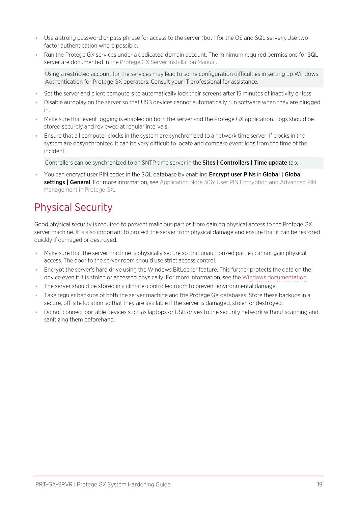- ⦁ Use a strong password or pass phrase for access to the server (both for the OS and SQL server). Use twofactor authentication where possible.
- ⦁ Run the Protege GX services under a dedicated domain account. The minimum required permissions for SQL server are documented in the Protege GX Server Installation Manual.

Using a restricted account for the services may lead to some configuration difficulties in setting up Windows Authentication for Protege GX operators. Consult your IT professional for assistance.

- Set the server and client computers to automatically lock their screens after 15 minutes of inactivity or less.
- ⦁ Disable autoplay on the server so that USB devices cannot automatically run software when they are plugged in.
- ⦁ Make sure that event logging is enabled on both the server and the Protege GX application. Logs should be stored securely and reviewed at regular intervals.
- ⦁ Ensure that all computer clocks in the system are synchronized to a network time server. If clocks in the system are desynchronized it can be very difficult to locate and compare event logs from the time of the incident.

Controllers can be synchronized to an SNTP time server in the **Sites | Controllers | Time update** tab.

You can encrypt user PIN codes in the SQL database by enabling **Encrypt user PINs** in Global | Global settings | General. For more information, see Application Note 306: User PIN Encryption and Advanced PIN Management in Protege GX.

# <span id="page-18-0"></span>Physical Security

Good physical security is required to prevent malicious parties from gaining physical access to the Protege GX server machine. It is also important to protect the server from physical damage and ensure that it can be restored quickly if damaged or destroyed.

- ⦁ Make sure that the server machine is physically secure so that unauthorized parties cannot gain physical access. The door to the server room should use strict access control.
- ⦁ Encrypt the server's hard drive using the Windows BitLocker feature. This further protects the data on the device even if it is stolen or accessed physically. For more information, see the Windows [documentation.](https://docs.microsoft.com/en-us/windows/security/information-protection/bitlocker/bitlocker-overview)
- ⦁ The server should be stored in a climate-controlled room to prevent environmental damage.
- Take regular backups of both the server machine and the Protege GX databases. Store these backups in a secure, off-site location so that they are available if the server is damaged, stolen or destroyed.
- ⦁ Do not connect portable devices such as laptops or USB drives to the security network without scanning and sanitizing them beforehand.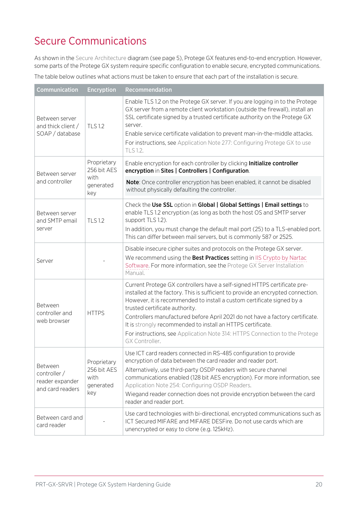# <span id="page-19-0"></span>Secure Communications

As shown in the Secure Architecture diagram (see [page 5\)](#page-4-0), Protege GX features end-to-end encryption. However, some parts of the Protege GX system require specific configuration to enable secure, encrypted communications.

The table below outlines what actions must be taken to ensure that each part of the installation is secure.

| <b>Communication</b>                                           | <b>Encryption</b>                                      | Recommendation                                                                                                                                                                                                                                                                                                                                                                                                                                                                                                            |  |  |  |
|----------------------------------------------------------------|--------------------------------------------------------|---------------------------------------------------------------------------------------------------------------------------------------------------------------------------------------------------------------------------------------------------------------------------------------------------------------------------------------------------------------------------------------------------------------------------------------------------------------------------------------------------------------------------|--|--|--|
| Between server<br>and thick client /<br>SOAP / database        | <b>TLS 1.2</b>                                         | Enable TLS 1.2 on the Protege GX server. If you are logging in to the Protege<br>GX server from a remote client workstation (outside the firewall), install an<br>SSL certificate signed by a trusted certificate authority on the Protege GX<br>server.<br>Enable service certificate validation to prevent man-in-the-middle attacks.<br>For instructions, see Application Note 277: Configuring Protege GX to use<br>TLS 1.2.                                                                                          |  |  |  |
| Between server                                                 | Proprietary<br>256 bit AES                             | Enable encryption for each controller by clicking Initialize controller<br>encryption in Sites   Controllers   Configuration.                                                                                                                                                                                                                                                                                                                                                                                             |  |  |  |
| and controller                                                 | with<br>generated<br>key                               | Note: Once controller encryption has been enabled, it cannot be disabled<br>without physically defaulting the controller.                                                                                                                                                                                                                                                                                                                                                                                                 |  |  |  |
| Between server<br><b>TLS 1.2</b><br>and SMTP email<br>server   |                                                        | Check the Use SSL option in Global   Global Settings   Email settings to<br>enable TLS 1.2 encryption (as long as both the host OS and SMTP server<br>support TLS 1.2).<br>In addition, you must change the default mail port (25) to a TLS-enabled port.<br>This can differ between mail servers, but is commonly 587 or 2525.                                                                                                                                                                                           |  |  |  |
| Server                                                         |                                                        | Disable insecure cipher suites and protocols on the Protege GX server.<br>We recommend using the Best Practices setting in IIS Crypto by Nartac<br>Software. For more information, see the Protege GX Server Installation<br>Manual.                                                                                                                                                                                                                                                                                      |  |  |  |
| Between<br>controller and<br><b>HTTPS</b><br>web browser       |                                                        | Current Protege GX controllers have a self-signed HTTPS certificate pre-<br>installed at the factory. This is sufficient to provide an encrypted connection.<br>However, it is recommended to install a custom certificate signed by a<br>trusted certificate authority.<br>Controllers manufactured before April 2021 do not have a factory certificate.<br>It is strongly recommended to install an HTTPS certificate.<br>For instructions, see Application Note 314: HTTPS Connection to the Protege<br>GX Controller. |  |  |  |
| Between<br>controller /<br>reader expander<br>and card readers | Proprietary<br>256 bit AES<br>with<br>generated<br>key | Use ICT card readers connected in RS-485 configuration to provide<br>encryption of data between the card reader and reader port.<br>Alternatively, use third-party OSDP readers with secure channel<br>communications enabled (128 bit AES encryption). For more information, see<br>Application Note 254: Configuring OSDP Readers.<br>Wiegand reader connection does not provide encryption between the card<br>reader and reader port.                                                                                 |  |  |  |
| Between card and<br>card reader                                |                                                        | Use card technologies with bi-directional, encrypted communications such as<br>ICT Secured MIFARE and MIFARE DESFire. Do not use cards which are<br>unencrypted or easy to clone (e.g. 125kHz).                                                                                                                                                                                                                                                                                                                           |  |  |  |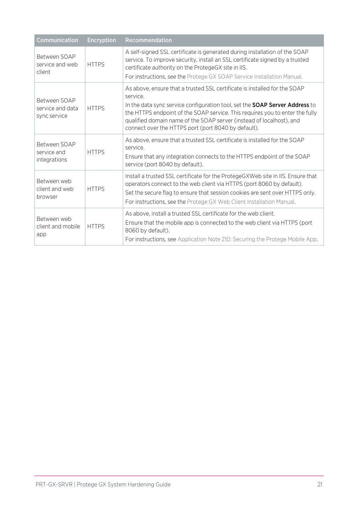| Communication                                            | <b>Encryption</b> | <b>Recommendation</b>                                                                                                                                                                                                                                                                                                                                                                      |  |  |
|----------------------------------------------------------|-------------------|--------------------------------------------------------------------------------------------------------------------------------------------------------------------------------------------------------------------------------------------------------------------------------------------------------------------------------------------------------------------------------------------|--|--|
| Between SOAP<br>service and web<br>client                | <b>HTTPS</b>      | A self-signed SSL certificate is generated during installation of the SOAP<br>service. To improve security, install an SSL certificate signed by a trusted<br>certificate authority on the ProtegeGX site in IIS.<br>For instructions, see the Protege GX SOAP Service Installation Manual.                                                                                                |  |  |
| Between SOAP<br>service and data<br>sync service         | <b>HTTPS</b>      | As above, ensure that a trusted SSL certificate is installed for the SOAP<br>service.<br>In the data sync service configuration tool, set the <b>SOAP Server Address</b> to<br>the HTTPS endpoint of the SOAP service. This requires you to enter the fully<br>qualified domain name of the SOAP server (instead of localhost), and<br>connect over the HTTPS port (port 8040 by default). |  |  |
| Between SOAP<br>service and<br>integrations              | <b>HTTPS</b>      | As above, ensure that a trusted SSL certificate is installed for the SOAP<br>service.<br>Ensure that any integration connects to the HTTPS endpoint of the SOAP<br>service (port 8040 by default).                                                                                                                                                                                         |  |  |
| Between web<br><b>HTTPS</b><br>client and web<br>browser |                   | Install a trusted SSL certificate for the ProtegeGXWeb site in IIS. Ensure that<br>operators connect to the web client via HTTPS (port 8060 by default).<br>Set the secure flag to ensure that session cookies are sent over HTTPS only.<br>For instructions, see the Protege GX Web Client Installation Manual.                                                                           |  |  |
| Between web<br>client and mobile<br>app                  | <b>HTTPS</b>      | As above, install a trusted SSL certificate for the web client.<br>Ensure that the mobile app is connected to the web client via HTTPS (port<br>8060 by default).<br>For instructions, see Application Note 210: Securing the Protege Mobile App.                                                                                                                                          |  |  |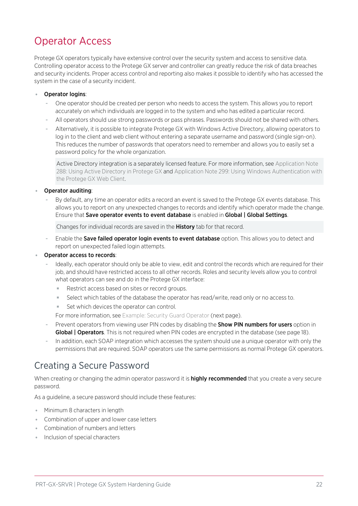## <span id="page-21-0"></span>Operator Access

Protege GX operators typically have extensive control over the security system and access to sensitive data. Controlling operator access to the Protege GX server and controller can greatly reduce the risk of data breaches and security incidents. Proper access control and reporting also makes it possible to identify who has accessed the system in the case of a security incident.

#### Operator logins:

- One operator should be created per person who needs to access the system. This allows you to report accurately on which individuals are logged in to the system and who has edited a particular record.
- All operators should use strong passwords or pass phrases. Passwords should not be shared with others.
- Alternatively, it is possible to integrate Protege GX with Windows Active Directory, allowing operators to log in to the client and web client without entering a separate username and password (single sign-on). This reduces the number of passwords that operators need to remember and allows you to easily set a password policy for the whole organization.

Active Directory integration is a separately licensed feature. For more information, see Application Note 288: Using Active Directory in Protege GX and Application Note 299: Using Windows Authentication with the Protege GX Web Client.

#### Operator auditing:

By default, any time an operator edits a record an event is saved to the Protege GX events database. This allows you to report on any unexpected changes to records and identify which operator made the change. Ensure that Save operator events to event database is enabled in Global | Global Settings.

Changes for individual records are saved in the History tab for that record.

Enable the Save failed operator login events to event database option. This allows you to detect and report on unexpected failed login attempts.

#### Operator access to records:

- Ideally, each operator should only be able to view, edit and control the records which are required for their job, and should have restricted access to all other records. Roles and security levels allow you to control what operators can see and do in the Protege GX interface:
	- Restrict access based on sites or record groups.
	- Select which tables of the database the operator has read/write, read only or no access to.
	- Set which devices the operator can control.
	- For more [information,](#page-22-0) see Example: Security Guard Operator (next page).
- Prevent operators from viewing user PIN codes by disabling the **Show PIN numbers for users** option in Global | Operators. This is not required when PIN codes are encrypted in the database (see [page 18\)](#page-17-3).
- In addition, each SOAP integration which accesses the system should use a unique operator with only the permissions that are required. SOAP operators use the same permissions as normal Protege GX operators.

#### <span id="page-21-1"></span>Creating a Secure Password

When creating or changing the admin operator password it is **highly recommended** that you create a very secure password.

As a guideline, a secure password should include these features:

- ⦁ Minimum 8 characters in length
- ⦁ Combination of upper and lower case letters
- ⦁ Combination of numbers and letters
- ⦁ Inclusion of special characters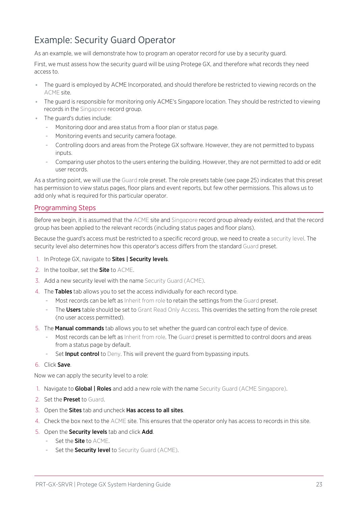### <span id="page-22-0"></span>Example: Security Guard Operator

As an example, we will demonstrate how to program an operator record for use by a security guard.

First, we must assess how the security guard will be using Protege GX, and therefore what records they need access to.

- ⦁ The guard is employed by ACME Incorporated, and should therefore be restricted to viewing records on the ACME site.
- ⦁ The guard is responsible for monitoring only ACME's Singapore location. They should be restricted to viewing records in the Singapore record group.
- ⦁ The guard's duties include:
	- Monitoring door and area status from a floor plan or status page.
	- Monitoring events and security camera footage.
	- Controlling doors and areas from the Protege GX software. However, they are not permitted to bypass inputs.
	- Comparing user photos to the users entering the building. However, they are not permitted to add or edit user records.

As a starting point, we will use the Guard role preset. The role presets table (see [page 25\)](#page-24-0) indicates that this preset has permission to view status pages, floor plans and event reports, but few other permissions. This allows us to add only what is required for this particular operator.

#### Programming Steps

Before we begin, it is assumed that the ACME site and Singapore record group already existed, and that the record group has been applied to the relevant records (including status pages and floor plans).

Because the guard's access must be restricted to a specific record group, we need to create a security level. The security level also determines how this operator's access differs from the standard Guard preset.

- 1. In Protege GX, navigate to **Sites | Security levels**.
- 2. In the toolbar, set the **Site** to ACME.
- 3. Add a new security level with the name Security Guard (ACME).
- 4. The Tables tab allows you to set the access individually for each record type.
	- Most records can be left as Inherit from role to retain the settings from the Guard preset.
	- The Users table should be set to Grant Read Only Access. This overrides the setting from the role preset (no user access permitted).
- 5. The **Manual commands** tab allows you to set whether the guard can control each type of device.
	- Most records can be left as Inherit from role. The Guard preset is permitted to control doors and areas from a status page by default.
	- Set Input control to Deny. This will prevent the quard from bypassing inputs.

#### 6. Click Save.

Now we can apply the security level to a role:

- 1. Navigate to **Global | Roles** and add a new role with the name Security Guard (ACME Singapore).
- 2. Set the **Preset** to Guard.
- 3. Open the Sites tab and uncheck Has access to all sites.
- 4. Check the box next to the ACME site. This ensures that the operator only has access to records in this site.
- 5. Open the Security levels tab and click Add.
	- Set the **Site** to ACME.
	- Set the **Security level** to Security Guard (ACME).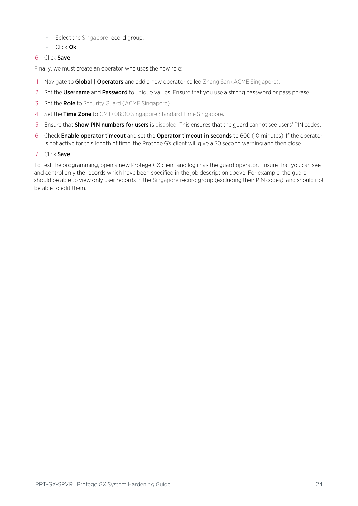- Select the Singapore record group.
- Click Ok.
- 6. Click Save.

Finally, we must create an operator who uses the new role:

- 1. Navigate to **Global | Operators** and add a new operator called Zhang San (ACME Singapore).
- 2. Set the Username and Password to unique values. Ensure that you use a strong password or pass phrase.
- 3. Set the Role to Security Guard (ACME Singapore).
- 4. Set the Time Zone to GMT+08:00 Singapore Standard Time Singapore.
- 5. Ensure that **Show PIN numbers for users** is disabled. This ensures that the quard cannot see users' PIN codes.
- 6. Check Enable operator timeout and set the Operator timeout in seconds to 600 (10 minutes). If the operator is not active for this length of time, the Protege GX client will give a 30 second warning and then close.
- 7. Click Save.

To test the programming, open a new Protege GX client and log in as the guard operator. Ensure that you can see and control only the records which have been specified in the job description above. For example, the guard should be able to view only user records in the Singapore record group (excluding their PIN codes), and should not be able to edit them.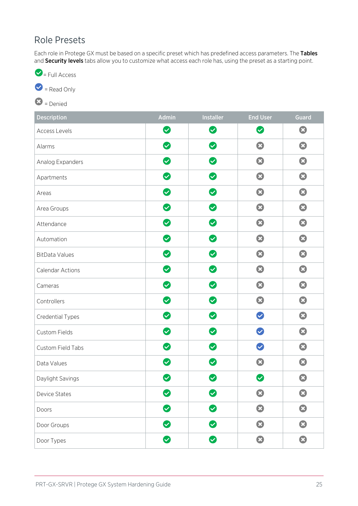### <span id="page-24-0"></span>Role Presets

Each role in Protege GX must be based on a specific preset which has predefined access parameters. The Tables and Security levels tabs allow you to customize what access each role has, using the preset as a starting point.



 $\bullet$  = Read Only

 $\bigcirc$  = Denied

| <b>Description</b>      | Admin                     | Installer                 | <b>End User</b>           | <b>Guard</b>          |
|-------------------------|---------------------------|---------------------------|---------------------------|-----------------------|
| <b>Access Levels</b>    | $\bullet$                 | $\bullet$                 | $\bullet$                 | $\mathbf{C}$          |
| Alarms                  | $\bullet$                 | $\bullet$                 | $\boldsymbol{\Omega}$     | $\bullet$             |
| Analog Expanders        | $\bullet$                 | $\bullet$                 | $\boldsymbol{\Omega}$     | $\mathbf{C}$          |
| Apartments              | $\bullet$                 | $\bullet$                 | $\boldsymbol{\Omega}$     | $\mathbf{O}$          |
| Areas                   | $\bullet$                 | $\bullet$                 | $\bullet$                 | 3                     |
| Area Groups             | $\bullet$                 | $\bullet$                 | $\boldsymbol{\Omega}$     | $\mathbf{O}$          |
| Attendance              | $\bullet$                 | $\bullet$                 | $\boldsymbol{\Omega}$     | $\boldsymbol{\Omega}$ |
| Automation              | $\bullet$                 | $\bullet$                 | $\mathbf{O}$              | $\bullet$             |
| <b>BitData Values</b>   | $\bullet$                 | $\bullet$                 | $\boldsymbol{\Omega}$     | $\bullet$             |
| <b>Calendar Actions</b> | $\bullet$                 | $\boldsymbol{\heartsuit}$ | $\boldsymbol{\Omega}$     | $\bullet$             |
| Cameras                 | $\bullet$                 | Ø                         | $\boldsymbol{\Omega}$     | $\bullet$             |
| Controllers             | $\bullet$                 | $\bullet$                 | $\bullet$                 | $\bullet$             |
| Credential Types        | $\bullet$                 | $\bullet$                 | $\blacktriangledown$      | $\boldsymbol{\Omega}$ |
| Custom Fields           | $\bullet$                 | $\bullet$                 | $\checkmark$              | $\boldsymbol{\Omega}$ |
| Custom Field Tabs       | $\bullet$                 | Ø                         | $\blacktriangledown$      | $\bullet$             |
| Data Values             | $\bullet$                 | Ø                         | Ø                         | $\boldsymbol{\Omega}$ |
| Daylight Savings        | $\boldsymbol{\heartsuit}$ | $\bullet$                 | $\boldsymbol{\heartsuit}$ | $\boldsymbol{\Omega}$ |
| <b>Device States</b>    | $\bullet$                 | Ø                         | $\bullet$                 | $\bullet$             |
| Doors                   | $\bullet$                 | $\bullet$                 | $\bullet$                 | 3                     |
| Door Groups             | Ø                         | $\bullet$                 | $\bullet$                 | $\bullet$             |
| Door Types              | $\bullet$                 | $\bullet$                 | $\odot$                   | 3                     |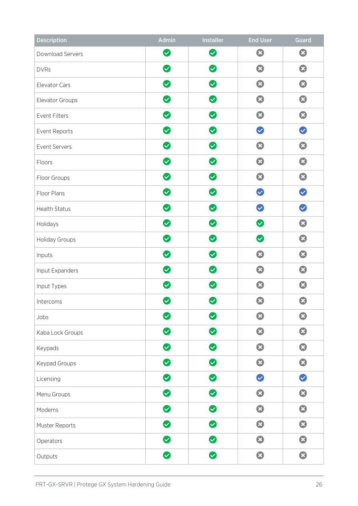| <b>Description</b>    | Admin                     | <b>Installer</b>          | <b>End User</b>            | Guard                     |
|-----------------------|---------------------------|---------------------------|----------------------------|---------------------------|
| Download Servers      | $\bullet$                 | $\bullet$                 | $\mathbf{O}$               | 0                         |
| <b>DVRs</b>           | Ø                         | $\bullet$                 | $\boldsymbol{\Omega}$      | $\boldsymbol{\Omega}$     |
| Elevator Cars         | $\bullet$                 | Ø                         | $\boldsymbol{\Omega}$      | $\boldsymbol{\Omega}$     |
| Elevator Groups       | $\bullet$                 | $\bullet$                 | 0                          | 3                         |
| Event Filters         | $\bullet$                 | $\bullet$                 | $\boldsymbol{\Omega}$      | Ø                         |
| Event Reports         | Ø                         | Ø                         | $\boldsymbol{\mathcal{C}}$ | $\boldsymbol{\heartsuit}$ |
| Event Servers         | Ø                         | $\bullet$                 | $\boldsymbol{\Omega}$      | $\boldsymbol{\Omega}$     |
| Floors                | $\bullet$                 | $\bullet$                 | 0                          | $\mathbf{O}$              |
| Floor Groups          | Ø                         | Ø                         | $\boldsymbol{\Omega}$      | $\boldsymbol{\Omega}$     |
| Floor Plans           | $\bullet$                 | $\bullet$                 | $\boldsymbol{\Omega}$      | $\bullet$                 |
| <b>Health Status</b>  | $\bullet$                 | $\bullet$                 | $\bullet$                  | $\bullet$                 |
| Holidays              | Ø                         | $\bullet$                 | $\bullet$                  | Ø                         |
| <b>Holiday Groups</b> | $\boldsymbol{\heartsuit}$ | Ø                         | $\boldsymbol{\varnothing}$ | $\boldsymbol{\Omega}$     |
| Inputs                | Ø                         | $\bullet$                 | $\boldsymbol{\Omega}$      | $\boldsymbol{\Omega}$     |
| Input Expanders       | $\bullet$                 | $\bullet$                 | Ø                          | Ø                         |
| Input Types           | $\boldsymbol{\heartsuit}$ | $\boldsymbol{\heartsuit}$ | Ø                          | $\boldsymbol{\mathbf{x}}$ |
| Intercoms             | $\boldsymbol{\omega}$     | $\boldsymbol{\omega}$     | $\boldsymbol{\Omega}$      | $\Omega$                  |
| Jobs                  | $\bullet$                 | Ø                         | $\boldsymbol{\Omega}$      | $\bullet$                 |
| Kaba Lock Groups      | $\bullet$                 | $\bullet$                 | $\boldsymbol{\Omega}$      | $\mathbf{C}$              |
| Keypads               | $\bullet$                 | $\bullet$                 | $\mathbf{C}$               | $\boldsymbol{\Omega}$     |
| Keypad Groups         | $\bullet$                 | $\bullet$                 | Ø                          | 3                         |
| Licensing             | $\bullet$                 | $\bullet$                 | $\bullet$                  | $\bullet$                 |
| Menu Groups           | Ø                         | $\bullet$                 | $\boldsymbol{\Omega}$      | $\boldsymbol{\Omega}$     |
| Modems                | Ø                         | $\bullet$                 | Ø                          | Ø                         |
| Muster Reports        | $\bullet$                 | $\bullet$                 | Ø                          | $\odot$                   |
| Operators             | $\bullet$                 | $\bullet$                 | $\boldsymbol{\Omega}$      | $\boldsymbol{\Omega}$     |
| Outputs               | $\bullet$                 | $\bullet$                 | O                          | $\boldsymbol{\Omega}$     |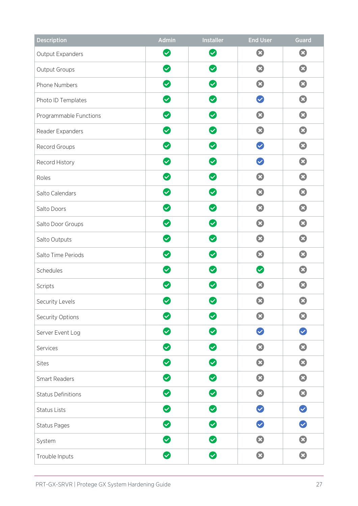| <b>Description</b>        | Admin                      | <b>Installer</b>                 | <b>End User</b>              | <b>Guard</b>          |
|---------------------------|----------------------------|----------------------------------|------------------------------|-----------------------|
| Output Expanders          | $\bullet$                  | $\bullet$                        | Ø                            | Ø                     |
| Output Groups             | $\bullet$                  | $\boldsymbol{\heartsuit}$        | $\boldsymbol{\Omega}$        | $\boldsymbol{\Omega}$ |
| Phone Numbers             | $\bullet$                  | $\boldsymbol{\heartsuit}$        | $\boldsymbol{\Omega}$        | $\Omega$              |
| Photo ID Templates        | $\boldsymbol{\heartsuit}$  | Ø                                | $\boldsymbol{\triangledown}$ | 8                     |
| Programmable Functions    | $\bullet$                  | $\bullet$                        | Ø                            | Ø                     |
| Reader Expanders          | $\boldsymbol{\heartsuit}$  | $\boldsymbol{\heartsuit}$        | $\boldsymbol{\Omega}$        | $\boldsymbol{\Omega}$ |
| Record Groups             | $\boldsymbol{\heartsuit}$  | $\bullet$                        | $\blacktriangledown$         | $\boldsymbol{\Omega}$ |
| Record History            | Ø                          | $\bullet$                        | $\bullet$                    | Ø                     |
| Roles                     | $\boldsymbol{\heartsuit}$  | $\boldsymbol{\omega}$            | $\boldsymbol{\Omega}$        | $\boldsymbol{\Omega}$ |
| Salto Calendars           | $\bullet$                  | Ø                                | $\boldsymbol{\Omega}$        | $\boldsymbol{\Omega}$ |
| Salto Doors               | $\bullet$                  | $\boldsymbol{\heartsuit}$        | $\boldsymbol{\Omega}$        | 0                     |
| Salto Door Groups         | Ø                          | Ø                                | $\boldsymbol{\Omega}$        | $\boldsymbol{\Omega}$ |
| Salto Outputs             | $\boldsymbol{\heartsuit}$  | $\boldsymbol{\varnothing}$       | $\boldsymbol{\Omega}$        | $\boldsymbol{\Omega}$ |
| Salto Time Periods        | $\boldsymbol{\heartsuit}$  | Ø                                | $\boldsymbol{\Omega}$        | $\boldsymbol{\Omega}$ |
| Schedules                 | Ø                          | $\bullet$                        | $\bullet$                    | $\boldsymbol{\Omega}$ |
| Scripts                   | $\blacktriangledown$       | $\boldsymbol{\vartriangledown}$  | $\boldsymbol{\Omega}$        | $\mathbf{x}$          |
| Security Levels           | $\boldsymbol{\mathcal{S}}$ | $\boldsymbol{\vartriangleright}$ | $\boldsymbol{\Omega}$        | $\mathbf{x}$          |
| Security Options          | $\bullet$                  | $\boldsymbol{\heartsuit}$        | $\boldsymbol{\Omega}$        | $\bullet$             |
| Server Event Log          | $\bullet$                  | $\bullet$                        | $\boldsymbol{\heartsuit}$    | $\bullet$             |
| Services                  | $\bullet$                  | $\bullet$                        | $\boldsymbol{\Omega}$        | $\boldsymbol{\Omega}$ |
| <b>Sites</b>              | $\bullet$                  | $\bullet$                        | $\mathbf{O}$                 | 3                     |
| <b>Smart Readers</b>      | $\bullet$                  | $\bullet$                        | $\mathbf{O}$                 | $\mathbf{O}$          |
| <b>Status Definitions</b> | $\bullet$                  | Ø                                | $\boldsymbol{\Omega}$        | $\boldsymbol{\Omega}$ |
| <b>Status Lists</b>       | Ø                          | $\bullet$                        | $\boldsymbol{\heartsuit}$    | $\bullet$             |
| <b>Status Pages</b>       | $\bullet$                  | $\bullet$                        | $\bullet$                    | $\bullet$             |
| System                    | $\bullet$                  | $\bullet$                        | $\boldsymbol{\Omega}$        | $\boldsymbol{\Omega}$ |
| Trouble Inputs            | $\bullet$                  | $\bullet$                        | $\boldsymbol{\Omega}$        | $\boldsymbol{\Omega}$ |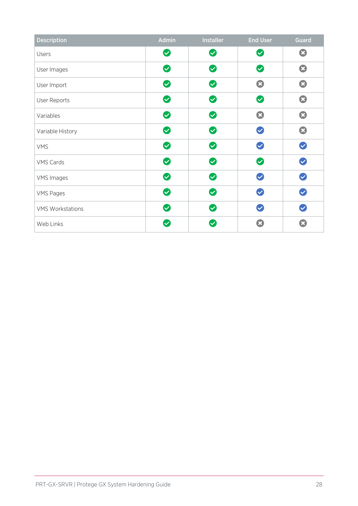| <b>Description</b>      | Admin                | Installer                 | <b>End User</b>           | <b>Guard</b>          |
|-------------------------|----------------------|---------------------------|---------------------------|-----------------------|
| Users                   | $\bullet$            | $\bullet$                 | Ø                         | $\boldsymbol{\Omega}$ |
| User Images             | Ø                    | $\bullet$                 | $\bullet$                 | $\boldsymbol{\Omega}$ |
| User Import             | $\bullet$            | $\bullet$                 | $\mathbf{C}$              | $\mathbf{C}$          |
| User Reports            | $\bullet$            | Ø                         | Ø                         | $\mathbf{C}$          |
| Variables               | $\bullet$            | Ø                         | $\mathbf{\Omega}$         | $\mathbf{C}$          |
| Variable History        | $\bullet$            | Ø                         | $\boldsymbol{\heartsuit}$ | $\mathbf{C}$          |
| <b>VMS</b>              | Ø                    | $\bullet$                 | $\boldsymbol{\circ}$      | $\bullet$             |
| <b>VMS Cards</b>        | Ø                    | $\bullet$                 | Ø                         | $\bullet$             |
| <b>VMS Images</b>       | $\bullet$            | $\bullet$                 | $\bullet$                 | $\bullet$             |
| <b>VMS Pages</b>        | Ø                    | Ø                         | $\bullet$                 | $\bullet$             |
| <b>VMS Workstations</b> | Ø                    | Ø                         | $\boldsymbol{\heartsuit}$ | $\bullet$             |
| Web Links               | $\blacktriangledown$ | $\boldsymbol{\heartsuit}$ | Ø                         | $\boldsymbol{\Omega}$ |